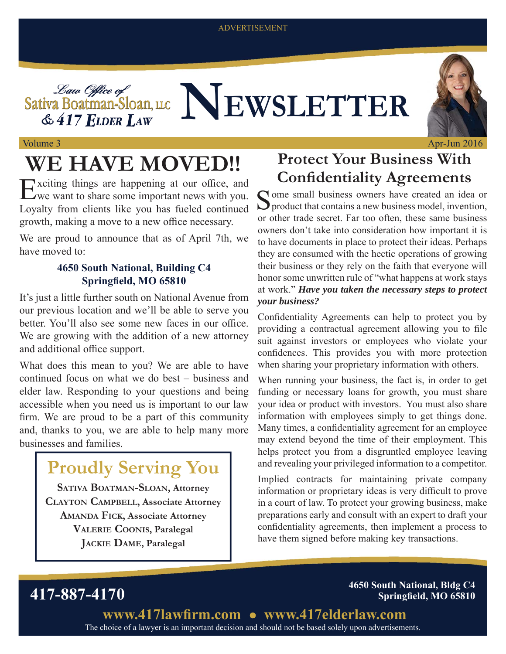#### ADVERTISEMENT

Sativa Boatman-Sloan, u.c **NEWSLETTER** 



Volume 3

# WE HAVE MOVED!!

 $&$  417 ELDER LAW

Exciting things are happening at our office, and We want to share some important news with you. Loyalty from clients like you has fueled continued growth, making a move to a new office necessary.

We are proud to announce that as of April 7th, we have moved to:

#### **4650 South National, Building C4 Springfield, MO 65810**

It's just a little further south on National Avenue from our previous location and we'll be able to serve you better. You'll also see some new faces in our office. We are growing with the addition of a new attorney and additional office support.

What does this mean to you? We are able to have continued focus on what we do best – business and elder law. Responding to your questions and being accessible when you need us is important to our law firm. We are proud to be a part of this community and, thanks to you, we are able to help many more businesses and families.

### **Proudly Serving You**

**SATIVA BOATMAN-SLOAN, Attorney CLAYTON CAMPBELL, Associate Attorney AMANDA FICK, Associate Attorney VALERIE COONIS, Paralegal JACKIE DAME, Paralegal**

### **Protect Your Business With Confidentiality Agreements**

Some small business owners have created an idea or product that contains a new business model, invention, or other trade secret. Far too often, these same business owners don't take into consideration how important it is to have documents in place to protect their ideas. Perhaps they are consumed with the hectic operations of growing their business or they rely on the faith that everyone will honor some unwritten rule of "what happens at work stays at work." *Have you taken the necessary steps to protect your business?*

Confidentiality Agreements can help to protect you by providing a contractual agreement allowing you to file suit against investors or employees who violate your confidences. This provides you with more protection when sharing your proprietary information with others.

When running your business, the fact is, in order to get funding or necessary loans for growth, you must share your idea or product with investors. You must also share information with employees simply to get things done. Many times, a confidentiality agreement for an employee may extend beyond the time of their employment. This helps protect you from a disgruntled employee leaving and revealing your privileged information to a competitor.

Implied contracts for maintaining private company information or proprietary ideas is very difficult to prove in a court of law. To protect your growing business, make preparations early and consult with an expert to draft your confidentiality agreements, then implement a process to have them signed before making key transactions.

**417-887-4170 4650 South National, Bldg C4 Springfield, MO 65810** 

> The choice of a lawyer is an important decision and should not be based solely upon advertisements. www.417lawfirm.com • www.417elderlaw.com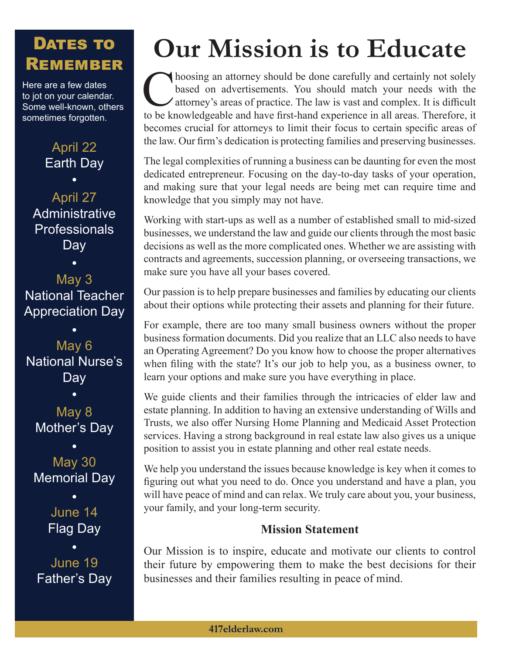### DATES TO REMEMBER

Here are a few dates to jot on your calendar. Some well-known, others sometimes forgotten.

April 22

Earth Day  $\bullet$ April 27 **Administrative Professionals** Day

May 3 National Teacher Appreciation Day

May 6 National Nurse's **Day** 

May 8 Mother's Day

May 30 Memorial Day

> June 14 Flag Day

June 19 Father's Day

# **Our Mission is to Educate**

hoosing an attorney should be done carefully and certainly not solely based on advertisements. You should match your needs with the Autorney's areas of practice. The law is vast and complex. It is difficult to be knowledgeable and have first-hand experience in all areas. Therefore, it becomes crucial for attorneys to limit their focus to certain specific areas of the law. Our firm's dedication is protecting families and preserving businesses.

The legal complexities of running a business can be daunting for even the most dedicated entrepreneur. Focusing on the day-to-day tasks of your operation, and making sure that your legal needs are being met can require time and knowledge that you simply may not have.

Working with start-ups as well as a number of established small to mid-sized businesses, we understand the law and guide our clients through the most basic decisions as well as the more complicated ones. Whether we are assisting with contracts and agreements, succession planning, or overseeing transactions, we make sure you have all your bases covered.

Our passion is to help prepare businesses and families by educating our clients about their options while protecting their assets and planning for their future.

For example, there are too many small business owners without the proper business formation documents. Did you realize that an LLC also needs to have an Operating Agreement? Do you know how to choose the proper alternatives when filing with the state? It's our job to help you, as a business owner, to learn your options and make sure you have everything in place.

We guide clients and their families through the intricacies of elder law and estate planning. In addition to having an extensive understanding of Wills and Trusts, we also offer Nursing Home Planning and Medicaid Asset Protection services. Having a strong background in real estate law also gives us a unique position to assist you in estate planning and other real estate needs.

We help you understand the issues because knowledge is key when it comes to figuring out what you need to do. Once you understand and have a plan, you will have peace of mind and can relax. We truly care about you, your business, your family, and your long-term security.

#### **Mission Statement**

Our Mission is to inspire, educate and motivate our clients to control their future by empowering them to make the best decisions for their businesses and their families resulting in peace of mind.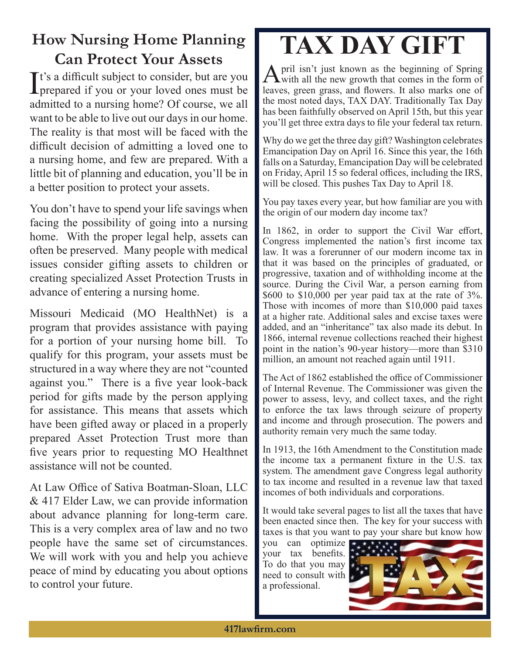### **How Nursing Home Planning Can Protect Your Assets**

It's a difficult subject to consider, but are you<br>prepared if you or your loved ones must be  $\mathbf{T}$ t's a difficult subject to consider, but are you admitted to a nursing home? Of course, we all want to be able to live out our days in our home. The reality is that most will be faced with the difficult decision of admitting a loved one to a nursing home, and few are prepared. With a little bit of planning and education, you'll be in a better position to protect your assets.

You don't have to spend your life savings when facing the possibility of going into a nursing home. With the proper legal help, assets can often be preserved. Many people with medical issues consider gifting assets to children or creating specialized Asset Protection Trusts in advance of entering a nursing home.

Missouri Medicaid (MO HealthNet) is a program that provides assistance with paying for a portion of your nursing home bill. To qualify for this program, your assets must be structured in a way where they are not "counted against you." There is a five year look-back period for gifts made by the person applying for assistance. This means that assets which have been gifted away or placed in a properly prepared Asset Protection Trust more than five years prior to requesting MO Healthnet assistance will not be counted.

At Law Office of Sativa Boatman-Sloan, LLC & 417 Elder Law, we can provide information about advance planning for long-term care. This is a very complex area of law and no two people have the same set of circumstances. We will work with you and help you achieve peace of mind by educating you about options to control your future.

## **TAX DAY GIFT**

April isn't just known as the beginning of Spring<br>with all the new growth that comes in the form of leaves, green grass, and flowers. It also marks one of the most noted days, TAX DAY. Traditionally Tax Day has been faithfully observed on April 15th, but this year you'll get three extra days to file your federal tax return.

Why do we get the three day gift? Washington celebrates Emancipation Day on April 16. Since this year, the 16th falls on a Saturday, Emancipation Day will be celebrated on Friday, April 15 so federal offices, including the IRS, will be closed. This pushes Tax Day to April 18.

You pay taxes every year, but how familiar are you with the origin of our modern day income tax?

In 1862, in order to support the Civil War effort, Congress implemented the nation's first income tax law. It was a forerunner of our modern income tax in that it was based on the principles of graduated, or progressive, taxation and of withholding income at the source. During the Civil War, a person earning from \$600 to \$10,000 per year paid tax at the rate of 3%. Those with incomes of more than \$10,000 paid taxes at a higher rate. Additional sales and excise taxes were added, and an "inheritance" tax also made its debut. In 1866, internal revenue collections reached their highest point in the nation's 90-year history—more than \$310 million, an amount not reached again until 1911.

The Act of 1862 established the office of Commissioner of Internal Revenue. The Commissioner was given the power to assess, levy, and collect taxes, and the right to enforce the tax laws through seizure of property and income and through prosecution. The powers and authority remain very much the same today.

In 1913, the 16th Amendment to the Constitution made the income tax a permanent fixture in the U.S. tax system. The amendment gave Congress legal authority to tax income and resulted in a revenue law that taxed incomes of both individuals and corporations.

It would take several pages to list all the taxes that have been enacted since then. The key for your success with taxes is that you want to pay your share but know how

you can optimize your tax benefits. To do that you may need to consult with a professional.